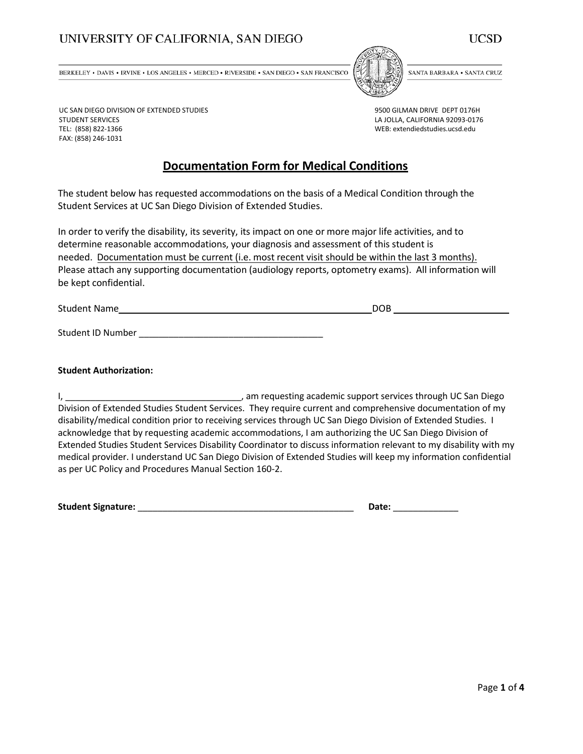# UNIVERSITY OF CALIFORNIA, SAN DIEGO

UC SAN DIEGO DIVISION OF EXTENDED STUDIES

STUDENT SERVICES TEL: (858) 822-1366 FAX: (858) 246-1031 UCSD

BERKELEY • DAVIS • IRVINE • LOS ANGELES • MERCED • RIVERSIDE • SAN DIEGO • SAN FRANCISCO



SANTA BARBARA • SANTA CRUZ

9500 GILMAN DRIVE DEPT 0176H LA JOLLA, CALIFORNIA 92093-0176 WEB: extendiedstudies.ucsd.edu

## **Documentation Form for Medical Conditions**

The student below has requested accommodations on the basis of a Medical Condition through the Student Services at UC San Diego Division of Extended Studies.

In order to verify the disability, its severity, its impact on one or more major life activities, and to determine reasonable accommodations, your diagnosis and assessment of this student is needed. Documentation must be current (i.e. most recent visit should be within the last 3 months). Please attach any supporting documentation (audiology reports, optometry exams). All information will be kept confidential.

Student Name DOB and the United Student Name DOB

Student ID Number \_\_\_\_\_\_\_\_\_\_\_\_\_\_\_\_\_\_\_\_\_\_\_\_\_\_\_\_\_\_\_\_\_\_\_\_\_

#### **Student Authorization:**

I, \_\_\_\_\_\_\_\_\_\_\_\_\_\_\_\_\_\_\_\_\_\_\_\_\_\_\_\_\_\_\_\_\_\_\_, am requesting academic support services through UC San Diego Division of Extended Studies Student Services. They require current and comprehensive documentation of my disability/medical condition prior to receiving services through UC San Diego Division of Extended Studies. I acknowledge that by requesting academic accommodations, I am authorizing the UC San Diego Division of Extended Studies Student Services Disability Coordinator to discuss information relevant to my disability with my medical provider. I understand UC San Diego Division of Extended Studies will keep my information confidential as per UC Policy and Procedures Manual Section 160-2.

**Student Signature:** \_\_\_\_\_\_\_\_\_\_\_\_\_\_\_\_\_\_\_\_\_\_\_\_\_\_\_\_\_\_\_\_\_\_\_\_\_\_\_\_\_\_\_ **Date:** \_\_\_\_\_\_\_\_\_\_\_\_\_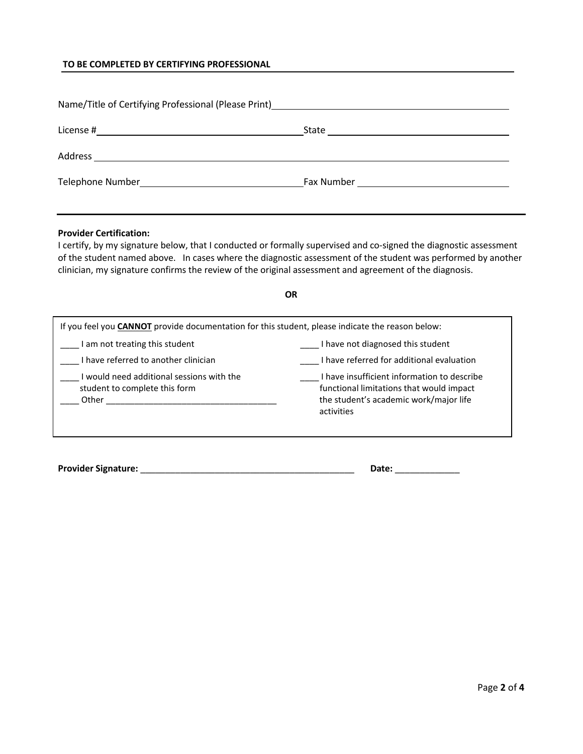## **TO BE COMPLETED BY CERTIFYING PROFESSIONAL**

| Name/Title of Certifying Professional (Please Print)<br>Mame/Title of Certifying Professional (Please Print)<br>Mame |                                       |
|----------------------------------------------------------------------------------------------------------------------|---------------------------------------|
|                                                                                                                      | State <u>________________________</u> |
|                                                                                                                      |                                       |
|                                                                                                                      |                                       |

#### **Provider Certification:**

I certify, by my signature below, that I conducted or formally supervised and co-signed the diagnostic assessment of the student named above. In cases where the diagnostic assessment of the student was performed by another clinician, my signature confirms the review of the original assessment and agreement of the diagnosis.

### **OR**

| If you feel you <b>CANNOT</b> provide documentation for this student, please indicate the reason below: |                                                                                                                                                 |  |  |  |
|---------------------------------------------------------------------------------------------------------|-------------------------------------------------------------------------------------------------------------------------------------------------|--|--|--|
| I am not treating this student                                                                          | I have not diagnosed this student                                                                                                               |  |  |  |
| I have referred to another clinician                                                                    | I have referred for additional evaluation                                                                                                       |  |  |  |
| would need additional sessions with the<br>student to complete this form<br>Other                       | I have insufficient information to describe<br>functional limitations that would impact<br>the student's academic work/major life<br>activities |  |  |  |

**Provider Signature:** \_\_\_\_\_\_\_\_\_\_\_\_\_\_\_\_\_\_\_\_\_\_\_\_\_\_\_\_\_\_\_\_\_\_\_\_\_\_\_\_\_\_\_ **Date:** \_\_\_\_\_\_\_\_\_\_\_\_\_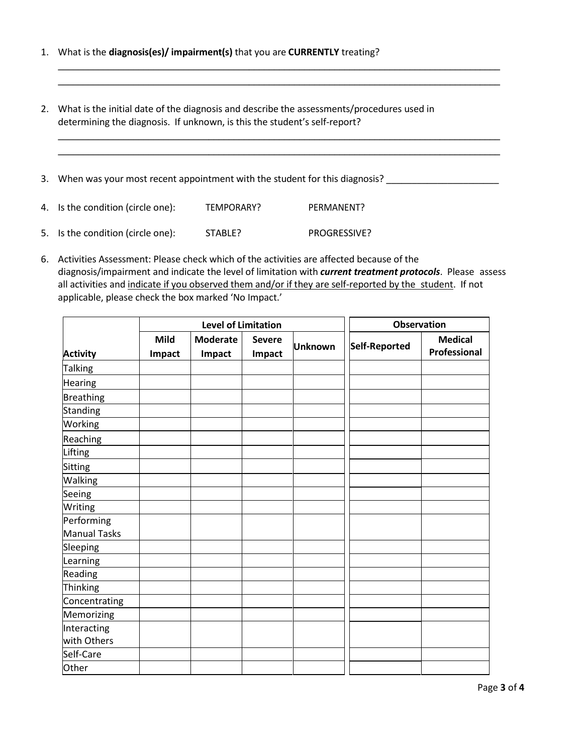- 1. What is the **diagnosis(es)/ impairment(s)** that you are **CURRENTLY** treating?
- 2. What is the initial date of the diagnosis and describe the assessments/procedures used in determining the diagnosis. If unknown, is this the student's self-report?
- 3. When was your most recent appointment with the student for this diagnosis? \_\_\_\_\_\_\_\_\_\_\_\_\_\_\_\_\_\_\_\_\_

\_\_\_\_\_\_\_\_\_\_\_\_\_\_\_\_\_\_\_\_\_\_\_\_\_\_\_\_\_\_\_\_\_\_\_\_\_\_\_\_\_\_\_\_\_\_\_\_\_\_\_\_\_\_\_\_\_\_\_\_\_\_\_\_\_\_\_\_\_\_\_\_\_\_\_\_\_\_\_\_\_\_\_\_\_\_\_\_ \_\_\_\_\_\_\_\_\_\_\_\_\_\_\_\_\_\_\_\_\_\_\_\_\_\_\_\_\_\_\_\_\_\_\_\_\_\_\_\_\_\_\_\_\_\_\_\_\_\_\_\_\_\_\_\_\_\_\_\_\_\_\_\_\_\_\_\_\_\_\_\_\_\_\_\_\_\_\_\_\_\_\_\_\_\_\_\_

\_\_\_\_\_\_\_\_\_\_\_\_\_\_\_\_\_\_\_\_\_\_\_\_\_\_\_\_\_\_\_\_\_\_\_\_\_\_\_\_\_\_\_\_\_\_\_\_\_\_\_\_\_\_\_\_\_\_\_\_\_\_\_\_\_\_\_\_\_\_\_\_\_\_\_\_\_\_\_\_\_\_\_\_\_\_\_\_ \_\_\_\_\_\_\_\_\_\_\_\_\_\_\_\_\_\_\_\_\_\_\_\_\_\_\_\_\_\_\_\_\_\_\_\_\_\_\_\_\_\_\_\_\_\_\_\_\_\_\_\_\_\_\_\_\_\_\_\_\_\_\_\_\_\_\_\_\_\_\_\_\_\_\_\_\_\_\_\_\_\_\_\_\_\_\_\_

- 4. Is the condition (circle one): TEMPORARY? PERMANENT? 5. Is the condition (circle one): STABLE? PROGRESSIVE?
- 6. Activities Assessment: Please check which of the activities are affected because of the diagnosis/impairment and indicate the level of limitation with *current treatment protocols*. Please assess all activities and indicate if you observed them and/or if they are self-reported by the student. If not applicable, please check the box marked 'No Impact.'

|                     | <b>Level of Limitation</b> |                           |                         |                | <b>Observation</b> |                                |
|---------------------|----------------------------|---------------------------|-------------------------|----------------|--------------------|--------------------------------|
| <b>Activity</b>     | <b>Mild</b><br>Impact      | <b>Moderate</b><br>Impact | <b>Severe</b><br>Impact | <b>Unknown</b> | Self-Reported      | <b>Medical</b><br>Professional |
| Talking             |                            |                           |                         |                |                    |                                |
| Hearing             |                            |                           |                         |                |                    |                                |
| <b>Breathing</b>    |                            |                           |                         |                |                    |                                |
| Standing            |                            |                           |                         |                |                    |                                |
| Working             |                            |                           |                         |                |                    |                                |
| Reaching            |                            |                           |                         |                |                    |                                |
| Lifting             |                            |                           |                         |                |                    |                                |
| Sitting             |                            |                           |                         |                |                    |                                |
| Walking             |                            |                           |                         |                |                    |                                |
| Seeing              |                            |                           |                         |                |                    |                                |
| Writing             |                            |                           |                         |                |                    |                                |
| Performing          |                            |                           |                         |                |                    |                                |
| <b>Manual Tasks</b> |                            |                           |                         |                |                    |                                |
| Sleeping            |                            |                           |                         |                |                    |                                |
| Learning            |                            |                           |                         |                |                    |                                |
| Reading             |                            |                           |                         |                |                    |                                |
| Thinking            |                            |                           |                         |                |                    |                                |
| Concentrating       |                            |                           |                         |                |                    |                                |
| Memorizing          |                            |                           |                         |                |                    |                                |
| Interacting         |                            |                           |                         |                |                    |                                |
| with Others         |                            |                           |                         |                |                    |                                |
| Self-Care           |                            |                           |                         |                |                    |                                |
| Other               |                            |                           |                         |                |                    |                                |